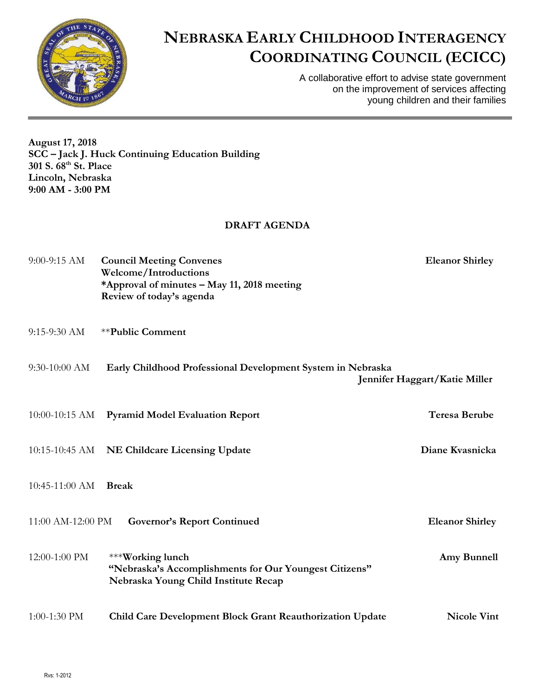

## **NEBRASKA EARLY CHILDHOOD INTERAGENCY COORDINATING COUNCIL (ECICC)**

A collaborative effort to advise state government on the improvement of services affecting young children and their families

**August 17, 2018 SCC – Jack J. Huck Continuing Education Building 301 S. 68th St. Place Lincoln, Nebraska 9:00 AM - 3:00 PM**

## **DRAFT AGENDA**

| $9:00-9:15$ AM    | <b>Council Meeting Convenes</b><br><b>Welcome/Introductions</b><br>*Approval of minutes - May 11, 2018 meeting<br>Review of today's agenda | <b>Eleanor Shirley</b>        |
|-------------------|--------------------------------------------------------------------------------------------------------------------------------------------|-------------------------------|
| $9:15-9:30$ AM    | <b>**Public Comment</b>                                                                                                                    |                               |
| 9:30-10:00 AM     | Early Childhood Professional Development System in Nebraska                                                                                | Jennifer Haggart/Katie Miller |
| $10:00-10:15$ AM  | <b>Pyramid Model Evaluation Report</b>                                                                                                     | <b>Teresa Berube</b>          |
|                   | 10:15-10:45 AM NE Childcare Licensing Update                                                                                               | Diane Kvasnicka               |
| $10:45-11:00$ AM  | <b>Break</b>                                                                                                                               |                               |
| 11:00 AM-12:00 PM | <b>Governor's Report Continued</b>                                                                                                         | <b>Eleanor Shirley</b>        |
| 12:00-1:00 PM     | ***Working lunch<br>"Nebraska's Accomplishments for Our Youngest Citizens"<br>Nebraska Young Child Institute Recap                         | Amy Bunnell                   |
| 1:00-1:30 PM      | Child Care Development Block Grant Reauthorization Update                                                                                  | <b>Nicole Vint</b>            |